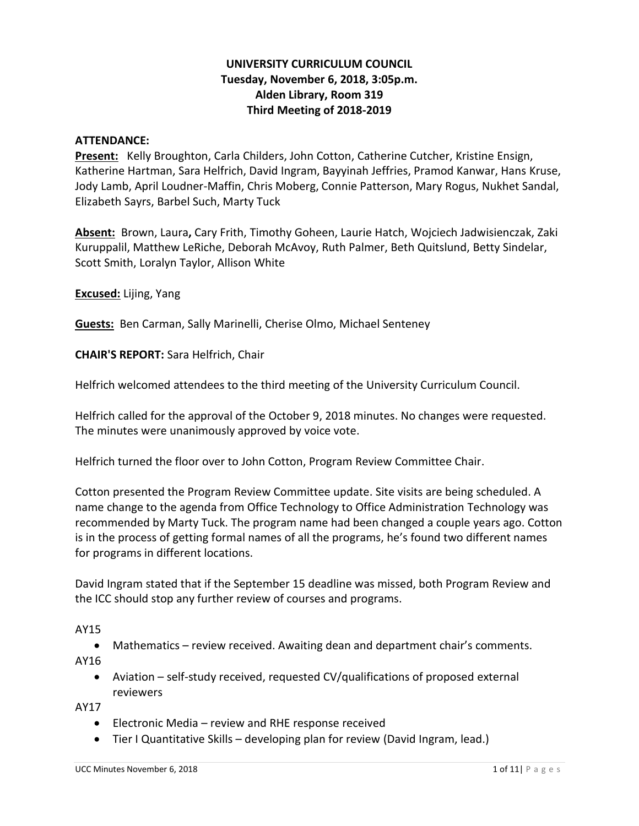## **UNIVERSITY CURRICULUM COUNCIL Tuesday, November 6, 2018, 3:05p.m. Alden Library, Room 319 Third Meeting of 2018-2019**

#### **ATTENDANCE:**

**Present:** Kelly Broughton, Carla Childers, John Cotton, Catherine Cutcher, Kristine Ensign, Katherine Hartman, Sara Helfrich, David Ingram, Bayyinah Jeffries, Pramod Kanwar, Hans Kruse, Jody Lamb, April Loudner-Maffin, Chris Moberg, Connie Patterson, Mary Rogus, Nukhet Sandal, Elizabeth Sayrs, Barbel Such, Marty Tuck

**Absent:** Brown, Laura**,** Cary Frith, Timothy Goheen, Laurie Hatch, Wojciech Jadwisienczak, Zaki Kuruppalil, Matthew LeRiche, Deborah McAvoy, Ruth Palmer, Beth Quitslund, Betty Sindelar, Scott Smith, Loralyn Taylor, Allison White

**Excused:** Lijing, Yang

**Guests:** Ben Carman, Sally Marinelli, Cherise Olmo, Michael Senteney

**CHAIR'S REPORT:** Sara Helfrich, Chair

Helfrich welcomed attendees to the third meeting of the University Curriculum Council.

Helfrich called for the approval of the October 9, 2018 minutes. No changes were requested. The minutes were unanimously approved by voice vote.

Helfrich turned the floor over to John Cotton, Program Review Committee Chair.

Cotton presented the Program Review Committee update. Site visits are being scheduled. A name change to the agenda from Office Technology to Office Administration Technology was recommended by Marty Tuck. The program name had been changed a couple years ago. Cotton is in the process of getting formal names of all the programs, he's found two different names for programs in different locations.

David Ingram stated that if the September 15 deadline was missed, both Program Review and the ICC should stop any further review of courses and programs.

AY15

• Mathematics – review received. Awaiting dean and department chair's comments.

AY16

• Aviation – self-study received, requested CV/qualifications of proposed external reviewers

AY17

- Electronic Media review and RHE response received
- Tier I Quantitative Skills developing plan for review (David Ingram, lead.)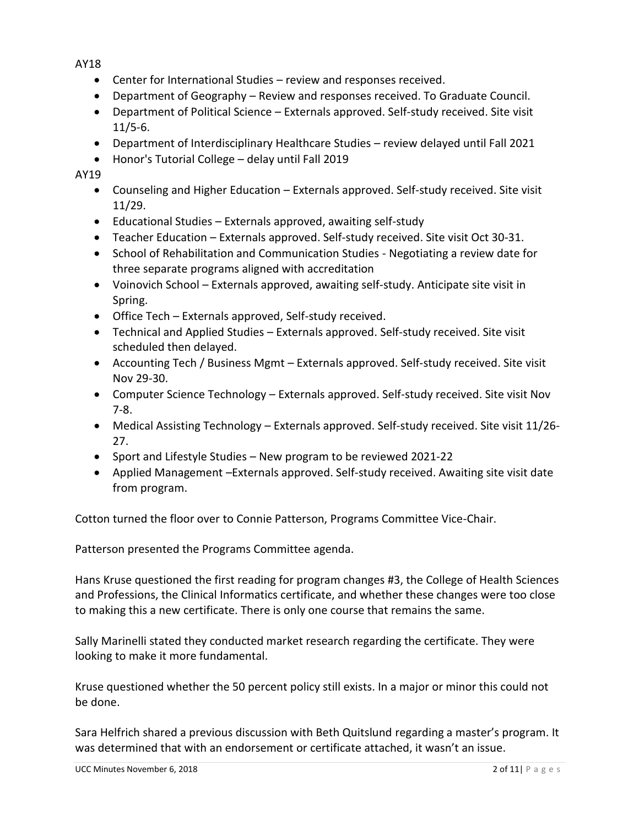AY18

- Center for International Studies review and responses received.
- Department of Geography Review and responses received. To Graduate Council.
- Department of Political Science Externals approved. Self-study received. Site visit 11/5-6.
- Department of Interdisciplinary Healthcare Studies review delayed until Fall 2021
- Honor's Tutorial College delay until Fall 2019

AY19

- Counseling and Higher Education Externals approved. Self-study received. Site visit 11/29.
- Educational Studies Externals approved, awaiting self-study
- Teacher Education Externals approved. Self-study received. Site visit Oct 30-31.
- School of Rehabilitation and Communication Studies Negotiating a review date for three separate programs aligned with accreditation
- Voinovich School Externals approved, awaiting self-study. Anticipate site visit in Spring.
- Office Tech Externals approved, Self-study received.
- Technical and Applied Studies Externals approved. Self-study received. Site visit scheduled then delayed.
- Accounting Tech / Business Mgmt Externals approved. Self-study received. Site visit Nov 29-30.
- Computer Science Technology Externals approved. Self-study received. Site visit Nov 7-8.
- Medical Assisting Technology Externals approved. Self-study received. Site visit 11/26- 27.
- Sport and Lifestyle Studies New program to be reviewed 2021-22
- Applied Management –Externals approved. Self-study received. Awaiting site visit date from program.

Cotton turned the floor over to Connie Patterson, Programs Committee Vice-Chair.

Patterson presented the Programs Committee agenda.

Hans Kruse questioned the first reading for program changes #3, the College of Health Sciences and Professions, the Clinical Informatics certificate, and whether these changes were too close to making this a new certificate. There is only one course that remains the same.

Sally Marinelli stated they conducted market research regarding the certificate. They were looking to make it more fundamental.

Kruse questioned whether the 50 percent policy still exists. In a major or minor this could not be done.

Sara Helfrich shared a previous discussion with Beth Quitslund regarding a master's program. It was determined that with an endorsement or certificate attached, it wasn't an issue.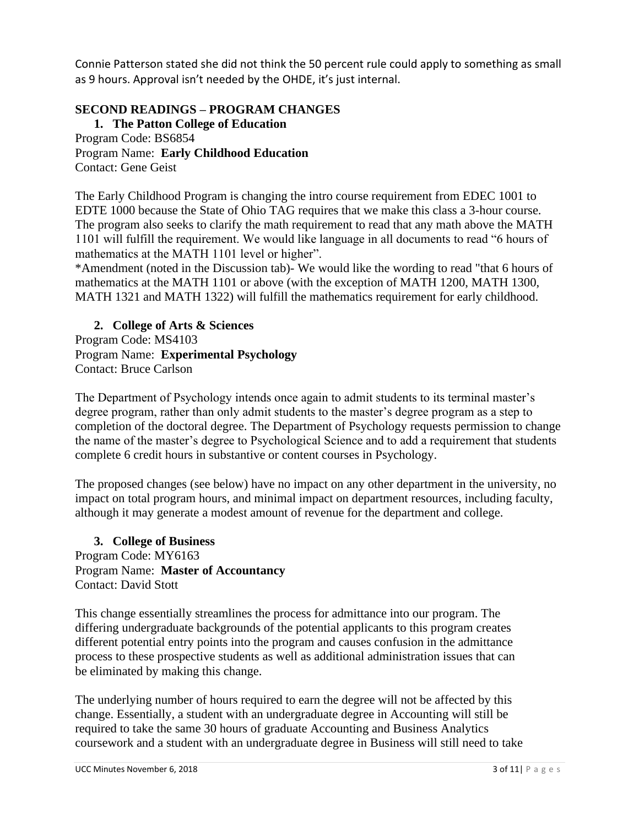Connie Patterson stated she did not think the 50 percent rule could apply to something as small as 9 hours. Approval isn't needed by the OHDE, it's just internal.

# **SECOND READINGS – PROGRAM CHANGES**

**1. The Patton College of Education** Program Code: BS6854 Program Name: **Early Childhood Education** Contact: Gene Geist

The Early Childhood Program is changing the intro course requirement from EDEC 1001 to EDTE 1000 because the State of Ohio TAG requires that we make this class a 3-hour course. The program also seeks to clarify the math requirement to read that any math above the MATH 1101 will fulfill the requirement. We would like language in all documents to read "6 hours of mathematics at the MATH 1101 level or higher".

\*Amendment (noted in the Discussion tab)- We would like the wording to read "that 6 hours of mathematics at the MATH 1101 or above (with the exception of MATH 1200, MATH 1300, MATH 1321 and MATH 1322) will fulfill the mathematics requirement for early childhood.

**2. College of Arts & Sciences**  Program Code: MS4103 Program Name: **Experimental Psychology** Contact: Bruce Carlson

The Department of Psychology intends once again to admit students to its terminal master's degree program, rather than only admit students to the master's degree program as a step to completion of the doctoral degree. The Department of Psychology requests permission to change the name of the master's degree to Psychological Science and to add a requirement that students complete 6 credit hours in substantive or content courses in Psychology.

The proposed changes (see below) have no impact on any other department in the university, no impact on total program hours, and minimal impact on department resources, including faculty, although it may generate a modest amount of revenue for the department and college.

**3. College of Business** Program Code: MY6163 Program Name: **Master of Accountancy** Contact: David Stott

This change essentially streamlines the process for admittance into our program. The differing undergraduate backgrounds of the potential applicants to this program creates different potential entry points into the program and causes confusion in the admittance process to these prospective students as well as additional administration issues that can be eliminated by making this change.

The underlying number of hours required to earn the degree will not be affected by this change. Essentially, a student with an undergraduate degree in Accounting will still be required to take the same 30 hours of graduate Accounting and Business Analytics coursework and a student with an undergraduate degree in Business will still need to take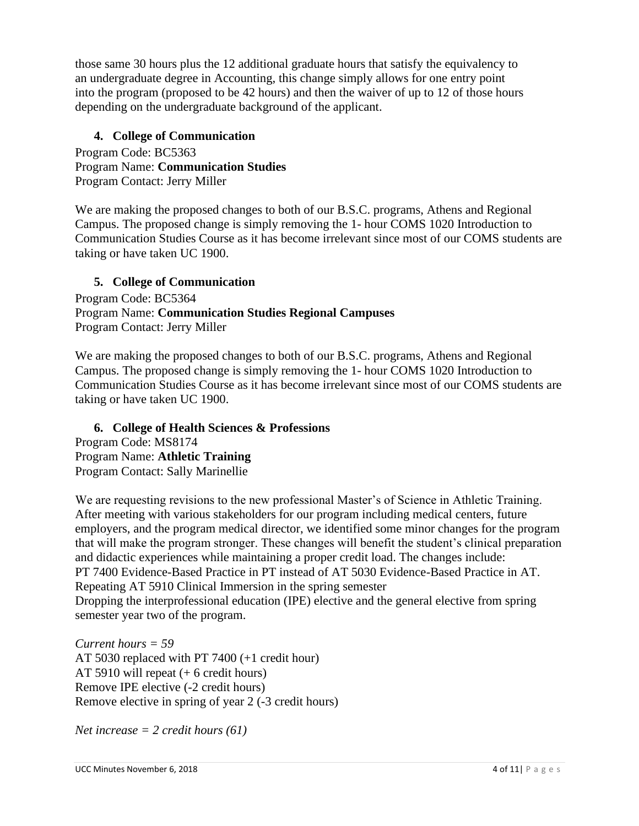those same 30 hours plus the 12 additional graduate hours that satisfy the equivalency to an undergraduate degree in Accounting, this change simply allows for one entry point into the program (proposed to be 42 hours) and then the waiver of up to 12 of those hours depending on the undergraduate background of the applicant.

## **4. College of Communication**

Program Code: BC5363 Program Name: **Communication Studies**  Program Contact: Jerry Miller

We are making the proposed changes to both of our B.S.C. programs, Athens and Regional Campus. The proposed change is simply removing the 1- hour COMS 1020 Introduction to Communication Studies Course as it has become irrelevant since most of our COMS students are taking or have taken UC 1900.

# **5. College of Communication**

Program Code: BC5364 Program Name: **Communication Studies Regional Campuses** Program Contact: Jerry Miller

We are making the proposed changes to both of our B.S.C. programs, Athens and Regional Campus. The proposed change is simply removing the 1- hour COMS 1020 Introduction to Communication Studies Course as it has become irrelevant since most of our COMS students are taking or have taken UC 1900.

## **6. College of Health Sciences & Professions**

Program Code: MS8174 Program Name: **Athletic Training** Program Contact: Sally Marinellie

We are requesting revisions to the new professional Master's of Science in Athletic Training. After meeting with various stakeholders for our program including medical centers, future employers, and the program medical director, we identified some minor changes for the program that will make the program stronger. These changes will benefit the student's clinical preparation and didactic experiences while maintaining a proper credit load. The changes include: PT 7400 Evidence-Based Practice in PT instead of AT 5030 Evidence-Based Practice in AT. Repeating AT 5910 Clinical Immersion in the spring semester Dropping the interprofessional education (IPE) elective and the general elective from spring semester year two of the program.

*Current hours = 59*  AT 5030 replaced with PT 7400 (+1 credit hour) AT 5910 will repeat (+ 6 credit hours) Remove IPE elective (-2 credit hours) Remove elective in spring of year 2 (-3 credit hours)

*Net increase = 2 credit hours (61)*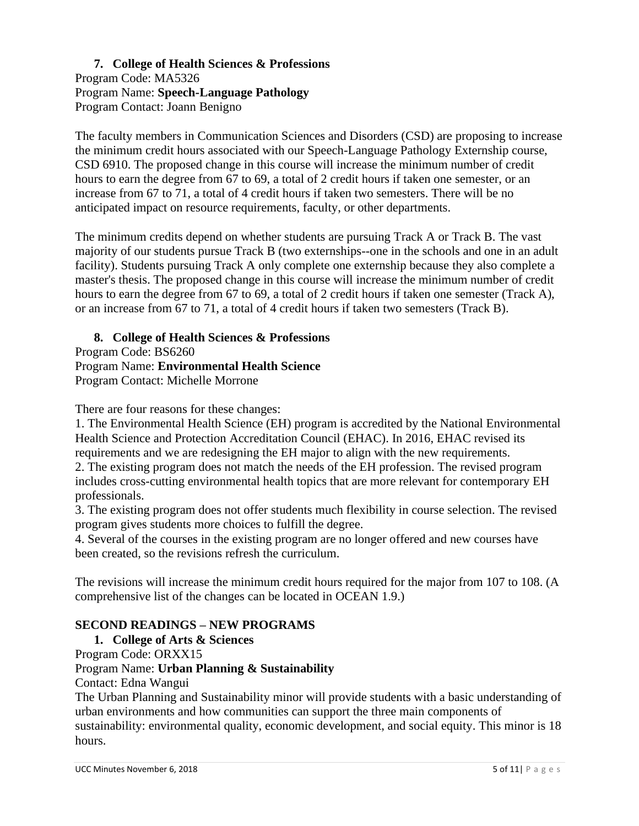#### **7. College of Health Sciences & Professions**  Program Code: MA5326 Program Name: **Speech-Language Pathology** Program Contact: Joann Benigno

The faculty members in Communication Sciences and Disorders (CSD) are proposing to increase the minimum credit hours associated with our Speech-Language Pathology Externship course, CSD 6910. The proposed change in this course will increase the minimum number of credit hours to earn the degree from 67 to 69, a total of 2 credit hours if taken one semester, or an increase from 67 to 71, a total of 4 credit hours if taken two semesters. There will be no anticipated impact on resource requirements, faculty, or other departments.

The minimum credits depend on whether students are pursuing Track A or Track B. The vast majority of our students pursue Track B (two externships--one in the schools and one in an adult facility). Students pursuing Track A only complete one externship because they also complete a master's thesis. The proposed change in this course will increase the minimum number of credit hours to earn the degree from 67 to 69, a total of 2 credit hours if taken one semester (Track A), or an increase from 67 to 71, a total of 4 credit hours if taken two semesters (Track B).

## **8. College of Health Sciences & Professions**

Program Code: BS6260 Program Name: **Environmental Health Science** Program Contact: Michelle Morrone

There are four reasons for these changes:

1. The Environmental Health Science (EH) program is accredited by the National Environmental Health Science and Protection Accreditation Council (EHAC). In 2016, EHAC revised its requirements and we are redesigning the EH major to align with the new requirements. 2. The existing program does not match the needs of the EH profession. The revised program includes cross-cutting environmental health topics that are more relevant for contemporary EH professionals.

3. The existing program does not offer students much flexibility in course selection. The revised program gives students more choices to fulfill the degree.

4. Several of the courses in the existing program are no longer offered and new courses have been created, so the revisions refresh the curriculum.

The revisions will increase the minimum credit hours required for the major from 107 to 108. (A comprehensive list of the changes can be located in OCEAN 1.9.)

## **SECOND READINGS – NEW PROGRAMS**

## **1. College of Arts & Sciences**

Program Code: ORXX15

#### Program Name: **Urban Planning & Sustainability**

Contact: Edna Wangui

The Urban Planning and Sustainability minor will provide students with a basic understanding of urban environments and how communities can support the three main components of sustainability: environmental quality, economic development, and social equity. This minor is 18 hours.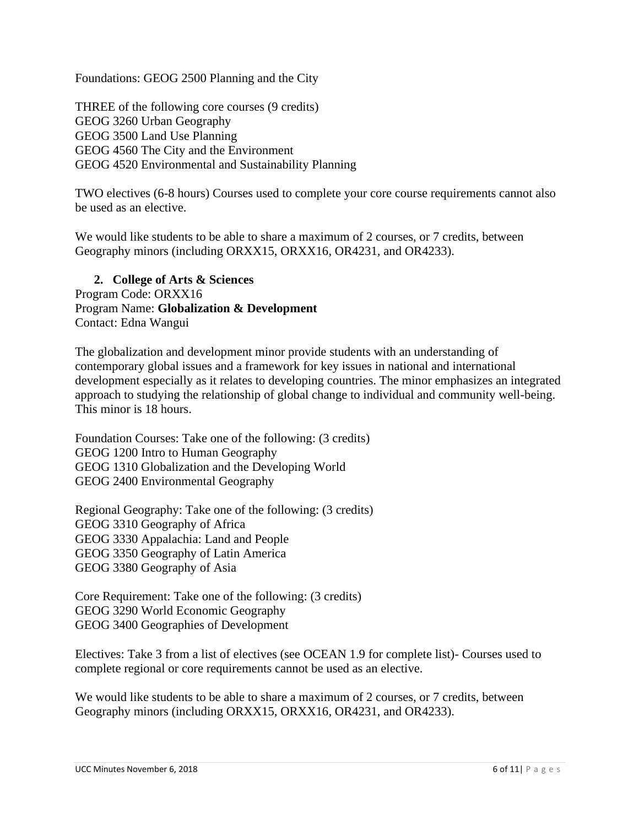Foundations: GEOG 2500 Planning and the City

THREE of the following core courses (9 credits) GEOG 3260 Urban Geography GEOG 3500 Land Use Planning GEOG 4560 The City and the Environment GEOG 4520 Environmental and Sustainability Planning

TWO electives (6-8 hours) Courses used to complete your core course requirements cannot also be used as an elective.

We would like students to be able to share a maximum of 2 courses, or 7 credits, between Geography minors (including ORXX15, ORXX16, OR4231, and OR4233).

**2. College of Arts & Sciences**  Program Code: ORXX16 Program Name: **Globalization & Development** Contact: Edna Wangui

The globalization and development minor provide students with an understanding of contemporary global issues and a framework for key issues in national and international development especially as it relates to developing countries. The minor emphasizes an integrated approach to studying the relationship of global change to individual and community well-being. This minor is 18 hours.

Foundation Courses: Take one of the following: (3 credits) GEOG 1200 Intro to Human Geography GEOG 1310 Globalization and the Developing World GEOG 2400 Environmental Geography

Regional Geography: Take one of the following: (3 credits) GEOG 3310 Geography of Africa GEOG 3330 Appalachia: Land and People GEOG 3350 Geography of Latin America GEOG 3380 Geography of Asia

Core Requirement: Take one of the following: (3 credits) GEOG 3290 World Economic Geography GEOG 3400 Geographies of Development

Electives: Take 3 from a list of electives (see OCEAN 1.9 for complete list)- Courses used to complete regional or core requirements cannot be used as an elective.

We would like students to be able to share a maximum of 2 courses, or 7 credits, between Geography minors (including ORXX15, ORXX16, OR4231, and OR4233).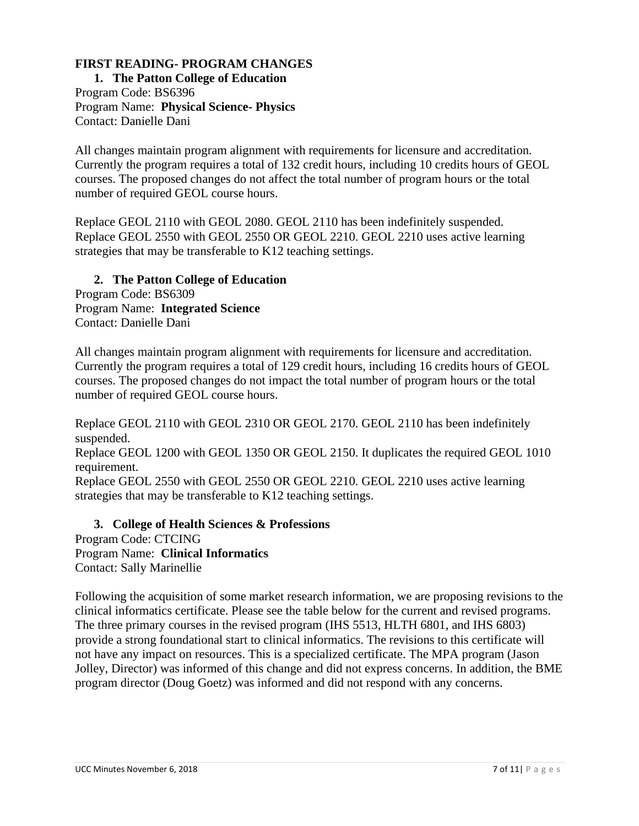# **FIRST READING- PROGRAM CHANGES**

**1. The Patton College of Education** Program Code: BS6396 Program Name: **Physical Science- Physics** Contact: Danielle Dani

All changes maintain program alignment with requirements for licensure and accreditation. Currently the program requires a total of 132 credit hours, including 10 credits hours of GEOL courses. The proposed changes do not affect the total number of program hours or the total number of required GEOL course hours.

Replace GEOL 2110 with GEOL 2080. GEOL 2110 has been indefinitely suspended. Replace GEOL 2550 with GEOL 2550 OR GEOL 2210. GEOL 2210 uses active learning strategies that may be transferable to K12 teaching settings.

#### **2. The Patton College of Education**

Program Code: BS6309 Program Name: **Integrated Science** Contact: Danielle Dani

All changes maintain program alignment with requirements for licensure and accreditation. Currently the program requires a total of 129 credit hours, including 16 credits hours of GEOL courses. The proposed changes do not impact the total number of program hours or the total number of required GEOL course hours.

Replace GEOL 2110 with GEOL 2310 OR GEOL 2170. GEOL 2110 has been indefinitely suspended.

Replace GEOL 1200 with GEOL 1350 OR GEOL 2150. It duplicates the required GEOL 1010 requirement.

Replace GEOL 2550 with GEOL 2550 OR GEOL 2210. GEOL 2210 uses active learning strategies that may be transferable to K12 teaching settings.

**3. College of Health Sciences & Professions** Program Code: CTCING Program Name: **Clinical Informatics** Contact: Sally Marinellie

Following the acquisition of some market research information, we are proposing revisions to the clinical informatics certificate. Please see the table below for the current and revised programs. The three primary courses in the revised program (IHS 5513, HLTH 6801, and IHS 6803) provide a strong foundational start to clinical informatics. The revisions to this certificate will not have any impact on resources. This is a specialized certificate. The MPA program (Jason Jolley, Director) was informed of this change and did not express concerns. In addition, the BME program director (Doug Goetz) was informed and did not respond with any concerns.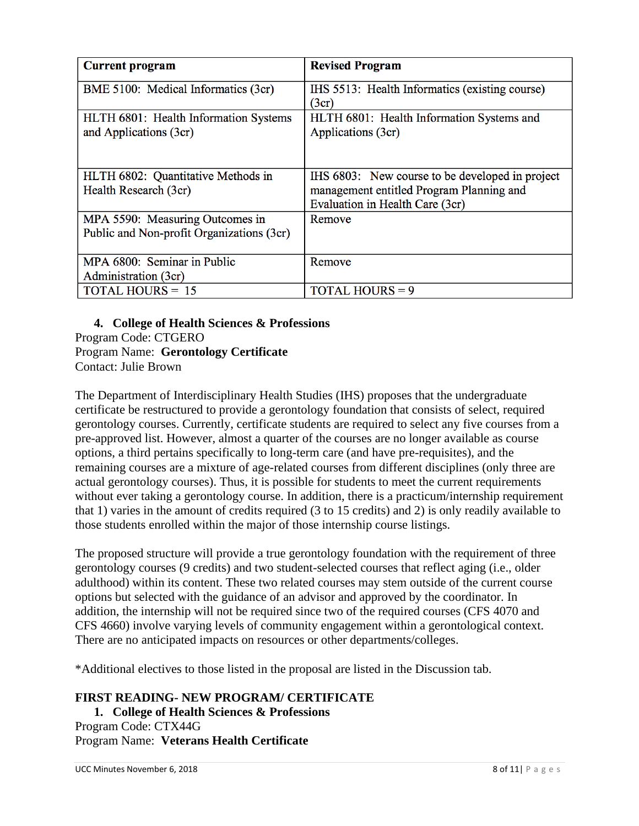| <b>Current program</b>                                                       | <b>Revised Program</b>                                                                                                         |
|------------------------------------------------------------------------------|--------------------------------------------------------------------------------------------------------------------------------|
| BME 5100: Medical Informatics (3cr)                                          | IHS 5513: Health Informatics (existing course)<br>(3cr)                                                                        |
| HLTH 6801: Health Information Systems<br>and Applications (3cr)              | HLTH 6801: Health Information Systems and<br>Applications (3cr)                                                                |
| HLTH 6802: Quantitative Methods in<br>Health Research (3cr)                  | IHS 6803: New course to be developed in project<br>management entitled Program Planning and<br>Evaluation in Health Care (3cr) |
| MPA 5590: Measuring Outcomes in<br>Public and Non-profit Organizations (3cr) | Remove                                                                                                                         |
| MPA 6800: Seminar in Public<br>Administration (3cr)                          | Remove                                                                                                                         |
| <b>TOTAL HOURS = 15</b>                                                      | <b>TOTAL HOURS = 9</b>                                                                                                         |

**4. College of Health Sciences & Professions** Program Code: CTGERO Program Name: **Gerontology Certificate** Contact: Julie Brown

The Department of Interdisciplinary Health Studies (IHS) proposes that the undergraduate certificate be restructured to provide a gerontology foundation that consists of select, required gerontology courses. Currently, certificate students are required to select any five courses from a pre-approved list. However, almost a quarter of the courses are no longer available as course options, a third pertains specifically to long-term care (and have pre-requisites), and the remaining courses are a mixture of age-related courses from different disciplines (only three are actual gerontology courses). Thus, it is possible for students to meet the current requirements without ever taking a gerontology course. In addition, there is a practicum/internship requirement that 1) varies in the amount of credits required (3 to 15 credits) and 2) is only readily available to those students enrolled within the major of those internship course listings.

The proposed structure will provide a true gerontology foundation with the requirement of three gerontology courses (9 credits) and two student-selected courses that reflect aging (i.e., older adulthood) within its content. These two related courses may stem outside of the current course options but selected with the guidance of an advisor and approved by the coordinator. In addition, the internship will not be required since two of the required courses (CFS 4070 and CFS 4660) involve varying levels of community engagement within a gerontological context. There are no anticipated impacts on resources or other departments/colleges.

\*Additional electives to those listed in the proposal are listed in the Discussion tab.

**FIRST READING- NEW PROGRAM/ CERTIFICATE**

**1. College of Health Sciences & Professions** Program Code: CTX44G Program Name: **Veterans Health Certificate**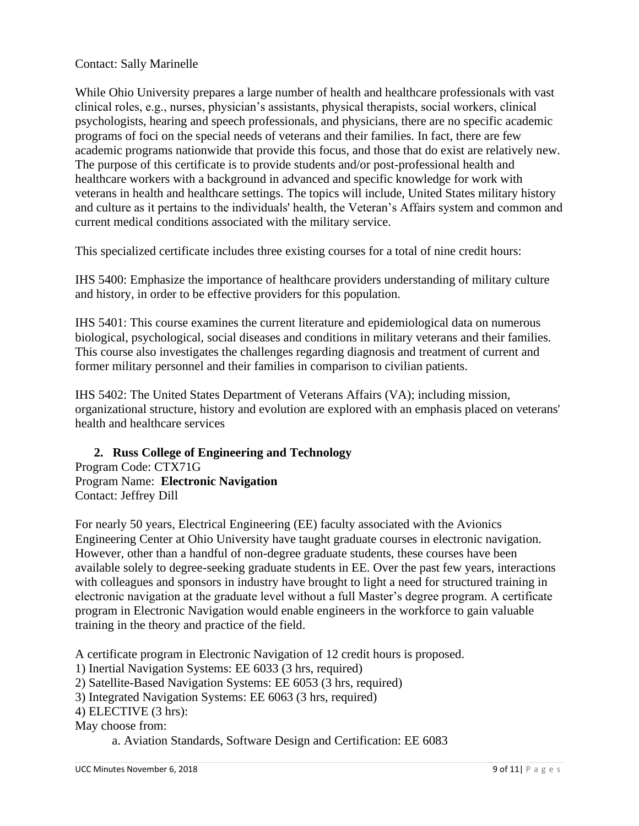#### Contact: Sally Marinelle

While Ohio University prepares a large number of health and healthcare professionals with vast clinical roles, e.g., nurses, physician's assistants, physical therapists, social workers, clinical psychologists, hearing and speech professionals, and physicians, there are no specific academic programs of foci on the special needs of veterans and their families. In fact, there are few academic programs nationwide that provide this focus, and those that do exist are relatively new. The purpose of this certificate is to provide students and/or post-professional health and healthcare workers with a background in advanced and specific knowledge for work with veterans in health and healthcare settings. The topics will include, United States military history and culture as it pertains to the individuals' health, the Veteran's Affairs system and common and current medical conditions associated with the military service.

This specialized certificate includes three existing courses for a total of nine credit hours:

IHS 5400: Emphasize the importance of healthcare providers understanding of military culture and history, in order to be effective providers for this population.

IHS 5401: This course examines the current literature and epidemiological data on numerous biological, psychological, social diseases and conditions in military veterans and their families. This course also investigates the challenges regarding diagnosis and treatment of current and former military personnel and their families in comparison to civilian patients.

IHS 5402: The United States Department of Veterans Affairs (VA); including mission, organizational structure, history and evolution are explored with an emphasis placed on veterans' health and healthcare services

## **2. Russ College of Engineering and Technology**

Program Code: CTX71G Program Name: **Electronic Navigation** Contact: Jeffrey Dill

For nearly 50 years, Electrical Engineering (EE) faculty associated with the Avionics Engineering Center at Ohio University have taught graduate courses in electronic navigation. However, other than a handful of non-degree graduate students, these courses have been available solely to degree-seeking graduate students in EE. Over the past few years, interactions with colleagues and sponsors in industry have brought to light a need for structured training in electronic navigation at the graduate level without a full Master's degree program. A certificate program in Electronic Navigation would enable engineers in the workforce to gain valuable training in the theory and practice of the field.

A certificate program in Electronic Navigation of 12 credit hours is proposed.

1) Inertial Navigation Systems: EE 6033 (3 hrs, required)

2) Satellite-Based Navigation Systems: EE 6053 (3 hrs, required)

3) Integrated Navigation Systems: EE 6063 (3 hrs, required)

4) ELECTIVE (3 hrs):

May choose from:

a. Aviation Standards, Software Design and Certification: EE 6083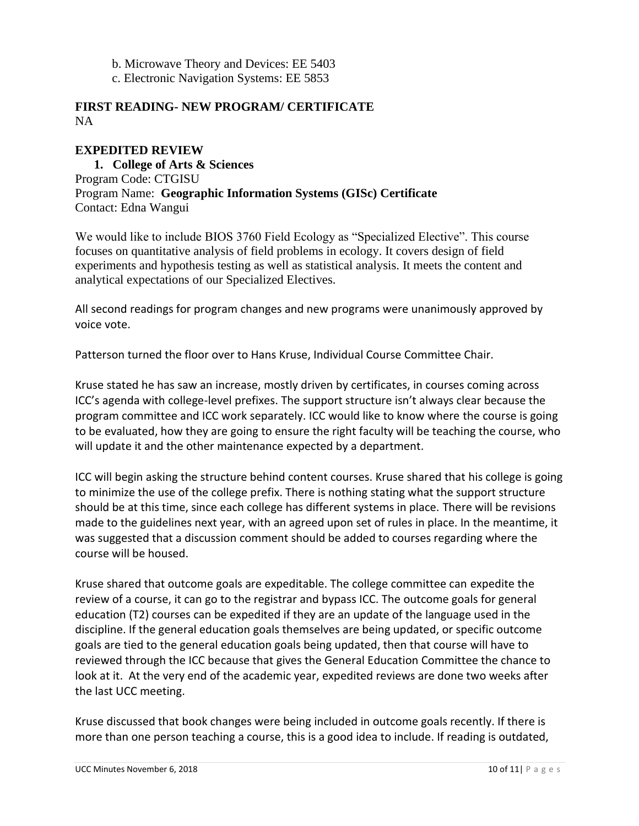- b. Microwave Theory and Devices: EE 5403
- c. Electronic Navigation Systems: EE 5853

#### **FIRST READING- NEW PROGRAM/ CERTIFICATE** NA

#### **EXPEDITED REVIEW**

**1. College of Arts & Sciences**  Program Code: CTGISU Program Name: **Geographic Information Systems (GISc) Certificate** Contact: Edna Wangui

We would like to include BIOS 3760 Field Ecology as "Specialized Elective". This course focuses on quantitative analysis of field problems in ecology. It covers design of field experiments and hypothesis testing as well as statistical analysis. It meets the content and analytical expectations of our Specialized Electives.

All second readings for program changes and new programs were unanimously approved by voice vote.

Patterson turned the floor over to Hans Kruse, Individual Course Committee Chair.

Kruse stated he has saw an increase, mostly driven by certificates, in courses coming across ICC's agenda with college-level prefixes. The support structure isn't always clear because the program committee and ICC work separately. ICC would like to know where the course is going to be evaluated, how they are going to ensure the right faculty will be teaching the course, who will update it and the other maintenance expected by a department.

ICC will begin asking the structure behind content courses. Kruse shared that his college is going to minimize the use of the college prefix. There is nothing stating what the support structure should be at this time, since each college has different systems in place. There will be revisions made to the guidelines next year, with an agreed upon set of rules in place. In the meantime, it was suggested that a discussion comment should be added to courses regarding where the course will be housed.

Kruse shared that outcome goals are expeditable. The college committee can expedite the review of a course, it can go to the registrar and bypass ICC. The outcome goals for general education (T2) courses can be expedited if they are an update of the language used in the discipline. If the general education goals themselves are being updated, or specific outcome goals are tied to the general education goals being updated, then that course will have to reviewed through the ICC because that gives the General Education Committee the chance to look at it. At the very end of the academic year, expedited reviews are done two weeks after the last UCC meeting.

Kruse discussed that book changes were being included in outcome goals recently. If there is more than one person teaching a course, this is a good idea to include. If reading is outdated,